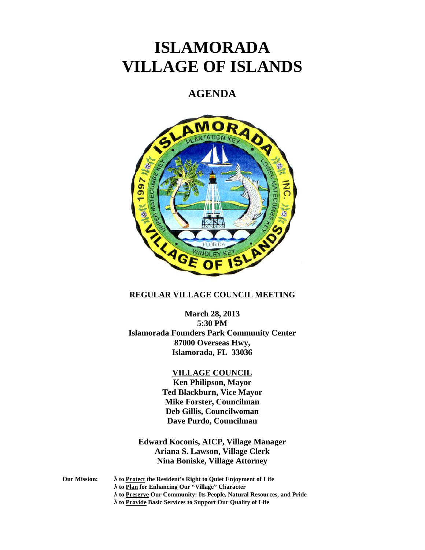# **ISLAMORADA VILLAGE OF ISLANDS**

# **AGENDA**



# **REGULAR VILLAGE COUNCIL MEETING**

**March 28, 2013 5:30 PM Islamorada Founders Park Community Center 87000 Overseas Hwy, Islamorada, FL 33036**

### **VILLAGE COUNCIL**

**Ken Philipson, Mayor Ted Blackburn, Vice Mayor Mike Forster, Councilman Deb Gillis, Councilwoman Dave Purdo, Councilman**

**Edward Koconis, AICP, Village Manager Ariana S. Lawson, Village Clerk Nina Boniske, Village Attorney**

- **Our Mission: to Protect the Resident's Right to Quiet Enjoyment of Life**
	- **to Plan for Enhancing Our "Village" Character**
	- **to Preserve Our Community: Its People, Natural Resources, and Pride**
	- **to Provide Basic Services to Support Our Quality of Life**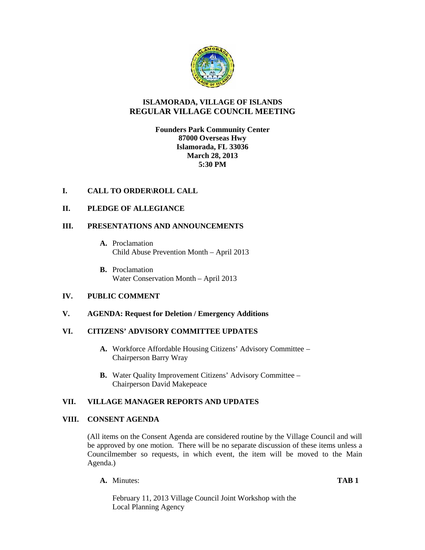

# **ISLAMORADA, VILLAGE OF ISLANDS REGULAR VILLAGE COUNCIL MEETING**

# **Founders Park Community Center 87000 Overseas Hwy Islamorada, FL 33036 March 28, 2013 5:30 PM**

# **I. CALL TO ORDER\ROLL CALL**

# **II. PLEDGE OF ALLEGIANCE**

# **III. PRESENTATIONS AND ANNOUNCEMENTS**

- **A.** Proclamation Child Abuse Prevention Month – April 2013
- **B.** Proclamation Water Conservation Month – April 2013

### **IV. PUBLIC COMMENT**

### **V. AGENDA: Request for Deletion / Emergency Additions**

### **VI. CITIZENS' ADVISORY COMMITTEE UPDATES**

- **A.** Workforce Affordable Housing Citizens' Advisory Committee Chairperson Barry Wray
- **B.** Water Quality Improvement Citizens' Advisory Committee Chairperson David Makepeace

### **VII. VILLAGE MANAGER REPORTS AND UPDATES**

### **VIII. CONSENT AGENDA**

(All items on the Consent Agenda are considered routine by the Village Council and will be approved by one motion. There will be no separate discussion of these items unless a Councilmember so requests, in which event, the item will be moved to the Main Agenda.)

**A.** Minutes: **TAB 1**

February 11, 2013 Village Council Joint Workshop with the Local Planning Agency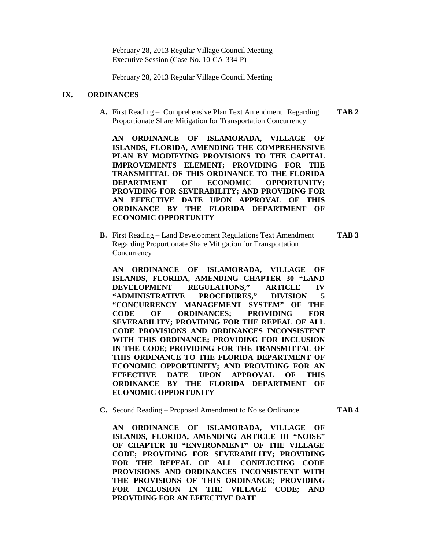February 28, 2013 Regular Village Council Meeting Executive Session (Case No. 10-CA-334-P)

February 28, 2013 Regular Village Council Meeting

#### **IX. ORDINANCES**

**A.** First Reading – Comprehensive Plan Text Amendment Regarding **TAB 2** Proportionate Share Mitigation for Transportation Concurrency

**AN ORDINANCE OF ISLAMORADA, VILLAGE OF ISLANDS, FLORIDA, AMENDING THE COMPREHENSIVE PLAN BY MODIFYING PROVISIONS TO THE CAPITAL IMPROVEMENTS ELEMENT; PROVIDING FOR THE TRANSMITTAL OF THIS ORDINANCE TO THE FLORIDA DEPARTMENT OF ECONOMIC OPPORTUNITY; PROVIDING FOR SEVERABILITY; AND PROVIDING FOR AN EFFECTIVE DATE UPON APPROVAL OF THIS ORDINANCE BY THE FLORIDA DEPARTMENT OF ECONOMIC OPPORTUNITY**

**B.** First Reading – Land Development Regulations Text Amendment **TAB 3** Regarding Proportionate Share Mitigation for Transportation **Concurrency** 

**AN ORDINANCE OF ISLAMORADA, VILLAGE OF ISLANDS, FLORIDA, AMENDING CHAPTER 30 "LAND DEVELOPMENT REGULATIONS," ARTICLE IV "ADMINISTRATIVE PROCEDURES," DIVISION 5 "CONCURRENCY MANAGEMENT SYSTEM" OF THE CODE OF ORDINANCES; PROVIDING FOR SEVERABILITY; PROVIDING FOR THE REPEAL OF ALL CODE PROVISIONS AND ORDINANCES INCONSISTENT WITH THIS ORDINANCE; PROVIDING FOR INCLUSION IN THE CODE; PROVIDING FOR THE TRANSMITTAL OF THIS ORDINANCE TO THE FLORIDA DEPARTMENT OF ECONOMIC OPPORTUNITY; AND PROVIDING FOR AN EFFECTIVE DATE UPON APPROVAL OF THIS ORDINANCE BY THE FLORIDA DEPARTMENT OF ECONOMIC OPPORTUNITY**

**C.** Second Reading – Proposed Amendment to Noise Ordinance **TAB 4**

**AN ORDINANCE OF ISLAMORADA, VILLAGE OF ISLANDS, FLORIDA, AMENDING ARTICLE III "NOISE" OF CHAPTER 18 "ENVIRONMENT" OF THE VILLAGE CODE; PROVIDING FOR SEVERABILITY; PROVIDING FOR THE REPEAL OF ALL CONFLICTING CODE PROVISIONS AND ORDINANCES INCONSISTENT WITH THE PROVISIONS OF THIS ORDINANCE; PROVIDING FOR INCLUSION IN THE VILLAGE CODE; AND PROVIDING FOR AN EFFECTIVE DATE**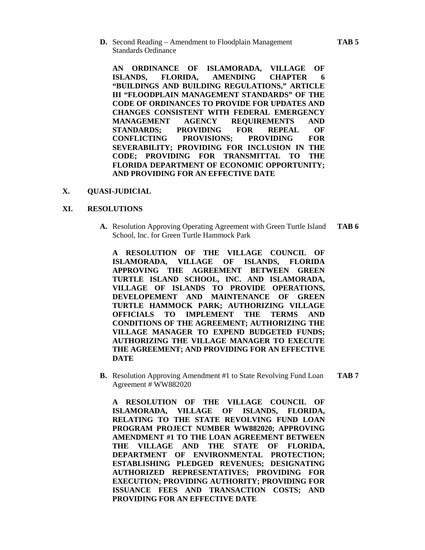**D.** Second Reading – Amendment to Floodplain Management **TAB 5** Standards Ordinance

**AN ORDINANCE OF ISLAMORADA, VILLAGE OF ISLANDS, FLORIDA, AMENDING CHAPTER 6 "BUILDINGS AND BUILDING REGULATIONS," ARTICLE III "FLOODPLAIN MANAGEMENT STANDARDS" OF THE CODE OF ORDINANCES TO PROVIDE FOR UPDATES AND CHANGES CONSISTENT WITH FEDERAL EMERGENCY MANAGEMENT AGENCY REQUIREMENTS AND STANDARDS; PROVIDING FOR REPEAL OF CONFLICTING PROVISIONS; PROVIDING FOR SEVERABILITY; PROVIDING FOR INCLUSION IN THE CODE; PROVIDING FOR TRANSMITTAL TO THE FLORIDA DEPARTMENT OF ECONOMIC OPPORTUNITY; AND PROVIDING FOR AN EFFECTIVE DATE**

#### **X. QUASI-JUDICIAL**

#### **XI. RESOLUTIONS**

**A.** Resolution Approving Operating Agreement with Green Turtle Island **TAB 6** School, Inc. for Green Turtle Hammock Park

**A RESOLUTION OF THE VILLAGE COUNCIL OF ISLAMORADA, VILLAGE OF ISLANDS, FLORIDA APPROVING THE AGREEMENT BETWEEN GREEN TURTLE ISLAND SCHOOL, INC. AND ISLAMORADA, VILLAGE OF ISLANDS TO PROVIDE OPERATIONS, DEVELOPEMENT AND MAINTENANCE OF GREEN TURTLE HAMMOCK PARK; AUTHORIZING VILLAGE OFFICIALS TO IMPLEMENT THE TERMS AND CONDITIONS OF THE AGREEMENT; AUTHORIZING THE VILLAGE MANAGER TO EXPEND BUDGETED FUNDS; AUTHORIZING THE VILLAGE MANAGER TO EXECUTE THE AGREEMENT; AND PROVIDING FOR AN EFFECTIVE DATE**

**B.** Resolution Approving Amendment #1 to State Revolving Fund Loan **TAB 7** Agreement # WW882020

**A RESOLUTION OF THE VILLAGE COUNCIL OF ISLAMORADA, VILLAGE OF ISLANDS, FLORIDA, RELATING TO THE STATE REVOLVING FUND LOAN PROGRAM PROJECT NUMBER WW882020; APPROVING AMENDMENT #1 TO THE LOAN AGREEMENT BETWEEN THE VILLAGE AND THE STATE OF FLORIDA, DEPARTMENT OF ENVIRONMENTAL PROTECTION; ESTABLISHING PLEDGED REVENUES; DESIGNATING AUTHORIZED REPRESENTATIVES; PROVIDING FOR EXECUTION; PROVIDING AUTHORITY; PROVIDING FOR ISSUANCE FEES AND TRANSACTION COSTS; AND PROVIDING FOR AN EFFECTIVE DATE**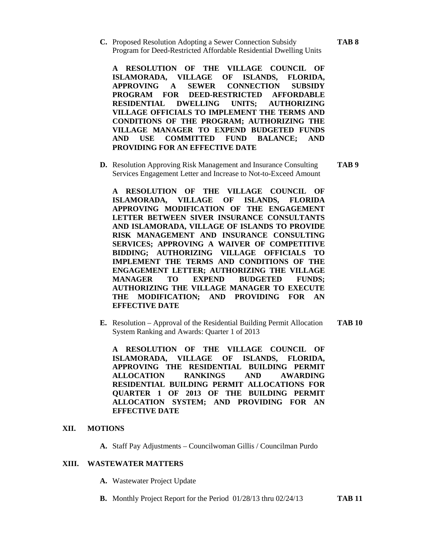**C.** Proposed Resolution Adopting a Sewer Connection Subsidy **TAB 8** Program for Deed-Restricted Affordable Residential Dwelling Units

**A RESOLUTION OF THE VILLAGE COUNCIL OF ISLAMORADA, VILLAGE OF ISLANDS, FLORIDA, APPROVING A SEWER CONNECTION SUBSIDY PROGRAM FOR DEED-RESTRICTED AFFORDABLE RESIDENTIAL DWELLING UNITS; AUTHORIZING VILLAGE OFFICIALS TO IMPLEMENT THE TERMS AND CONDITIONS OF THE PROGRAM; AUTHORIZING THE VILLAGE MANAGER TO EXPEND BUDGETED FUNDS AND USE COMMITTED FUND BALANCE; AND PROVIDING FOR AN EFFECTIVE DATE**

**D.** Resolution Approving Risk Management and Insurance Consulting **TAB 9** Services Engagement Letter and Increase to Not-to-Exceed Amount

**A RESOLUTION OF THE VILLAGE COUNCIL OF ISLAMORADA, VILLAGE OF ISLANDS, FLORIDA APPROVING MODIFICATION OF THE ENGAGEMENT LETTER BETWEEN SIVER INSURANCE CONSULTANTS AND ISLAMORADA, VILLAGE OF ISLANDS TO PROVIDE RISK MANAGEMENT AND INSURANCE CONSULTING SERVICES; APPROVING A WAIVER OF COMPETITIVE BIDDING; AUTHORIZING VILLAGE OFFICIALS TO IMPLEMENT THE TERMS AND CONDITIONS OF THE ENGAGEMENT LETTER; AUTHORIZING THE VILLAGE MANAGER TO EXPEND BUDGETED FUNDS; AUTHORIZING THE VILLAGE MANAGER TO EXECUTE THE MODIFICATION; AND PROVIDING FOR AN EFFECTIVE DATE**

**E.** Resolution – Approval of the Residential Building Permit Allocation **TAB 10** System Ranking and Awards: Quarter 1 of 2013

**A RESOLUTION OF THE VILLAGE COUNCIL OF ISLAMORADA, VILLAGE OF ISLANDS, FLORIDA, APPROVING THE RESIDENTIAL BUILDING PERMIT ALLOCATION RANKINGS AND AWARDING RESIDENTIAL BUILDING PERMIT ALLOCATIONS FOR QUARTER 1 OF 2013 OF THE BUILDING PERMIT ALLOCATION SYSTEM; AND PROVIDING FOR AN EFFECTIVE DATE**

#### **XII. MOTIONS**

**A.** Staff Pay Adjustments – Councilwoman Gillis / Councilman Purdo

#### **XIII. WASTEWATER MATTERS**

- **A.** Wastewater Project Update
- **B.** Monthly Project Report for the Period 01/28/13 thru 02/24/13 **TAB 11**